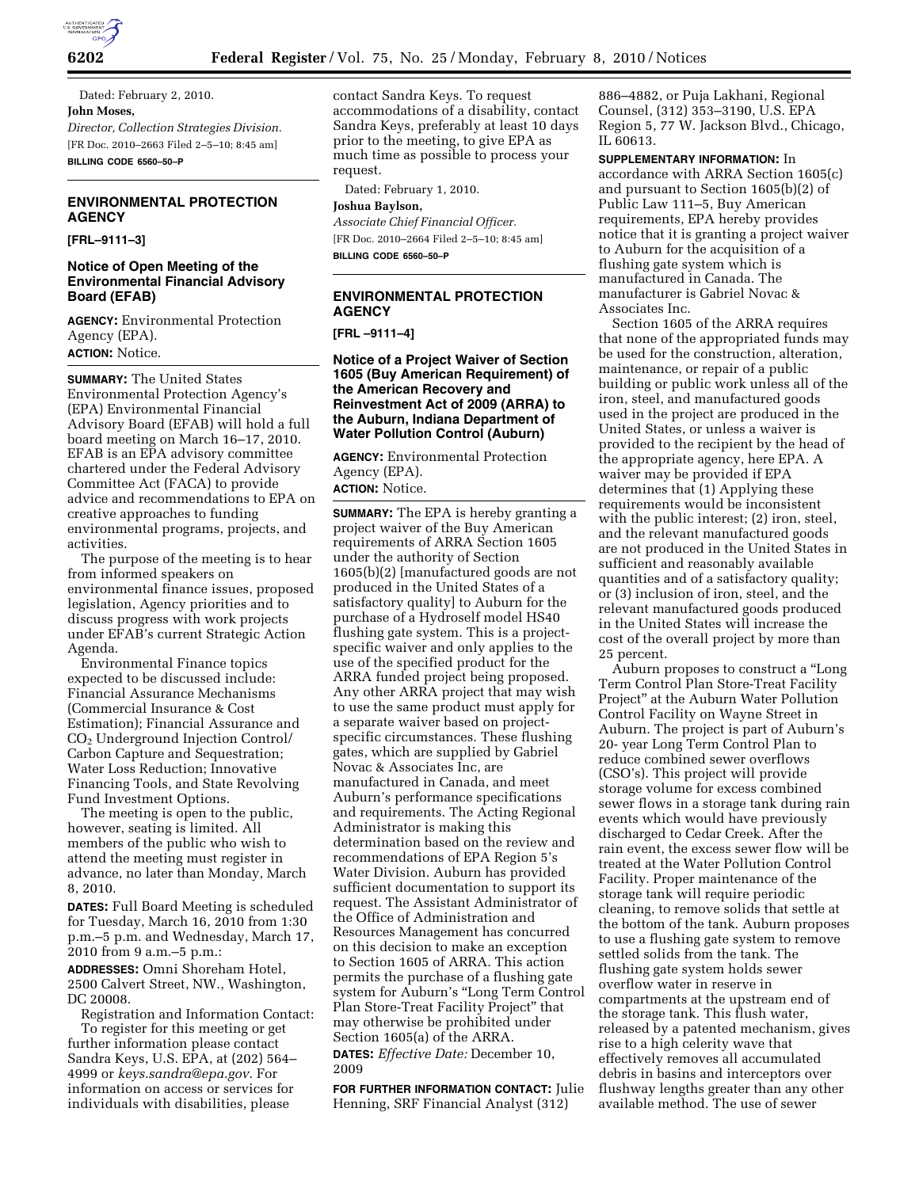

**6202 Federal Register** / Vol. 75, No. 25 / Monday, February 8, 2010 / Notices

Dated: February 2, 2010. **John Moses,**  *Director, Collection Strategies Division.*  [FR Doc. 2010–2663 Filed 2–5–10; 8:45 am] **BILLING CODE 6560–50–P** 

# **ENVIRONMENTAL PROTECTION AGENCY**

**[FRL–9111–3]** 

## **Notice of Open Meeting of the Environmental Financial Advisory Board (EFAB)**

**AGENCY:** Environmental Protection Agency (EPA). **ACTION:** Notice.

**SUMMARY:** The United States Environmental Protection Agency's (EPA) Environmental Financial Advisory Board (EFAB) will hold a full board meeting on March 16–17, 2010. EFAB is an EPA advisory committee chartered under the Federal Advisory Committee Act (FACA) to provide advice and recommendations to EPA on creative approaches to funding environmental programs, projects, and activities.

The purpose of the meeting is to hear from informed speakers on environmental finance issues, proposed legislation, Agency priorities and to discuss progress with work projects under EFAB's current Strategic Action Agenda.

Environmental Finance topics expected to be discussed include: Financial Assurance Mechanisms (Commercial Insurance & Cost Estimation); Financial Assurance and CO2 Underground Injection Control/ Carbon Capture and Sequestration; Water Loss Reduction; Innovative Financing Tools, and State Revolving Fund Investment Options.

The meeting is open to the public, however, seating is limited. All members of the public who wish to attend the meeting must register in advance, no later than Monday, March 8, 2010.

**DATES:** Full Board Meeting is scheduled for Tuesday, March 16, 2010 from 1:30 p.m.–5 p.m. and Wednesday, March 17, 2010 from 9 a.m.–5 p.m.:

**ADDRESSES:** Omni Shoreham Hotel, 2500 Calvert Street, NW., Washington, DC 20008.

Registration and Information Contact: To register for this meeting or get further information please contact Sandra Keys, U.S. EPA, at (202) 564– 4999 or *keys.sandra@epa.gov.* For information on access or services for individuals with disabilities, please

contact Sandra Keys. To request accommodations of a disability, contact Sandra Keys, preferably at least 10 days prior to the meeting, to give EPA as much time as possible to process your request.

Dated: February 1, 2010.

#### **Joshua Baylson,**

*Associate Chief Financial Officer.*  [FR Doc. 2010–2664 Filed 2–5–10; 8:45 am] **BILLING CODE 6560–50–P** 

### **ENVIRONMENTAL PROTECTION AGENCY**

**[FRL –9111–4]** 

**Notice of a Project Waiver of Section 1605 (Buy American Requirement) of the American Recovery and Reinvestment Act of 2009 (ARRA) to the Auburn, Indiana Department of Water Pollution Control (Auburn)** 

**AGENCY:** Environmental Protection Agency (EPA). **ACTION:** Notice.

**SUMMARY:** The EPA is hereby granting a project waiver of the Buy American requirements of ARRA Section 1605 under the authority of Section 1605(b)(2) [manufactured goods are not produced in the United States of a satisfactory quality] to Auburn for the purchase of a Hydroself model HS40 flushing gate system. This is a projectspecific waiver and only applies to the use of the specified product for the ARRA funded project being proposed. Any other ARRA project that may wish to use the same product must apply for a separate waiver based on projectspecific circumstances. These flushing gates, which are supplied by Gabriel Novac & Associates Inc, are manufactured in Canada, and meet Auburn's performance specifications and requirements. The Acting Regional Administrator is making this determination based on the review and recommendations of EPA Region 5's Water Division. Auburn has provided sufficient documentation to support its request. The Assistant Administrator of the Office of Administration and Resources Management has concurred on this decision to make an exception to Section 1605 of ARRA. This action permits the purchase of a flushing gate system for Auburn's ''Long Term Control Plan Store-Treat Facility Project'' that may otherwise be prohibited under Section 1605(a) of the ARRA. **DATES:** *Effective Date:* December 10, 2009

**FOR FURTHER INFORMATION CONTACT:** Julie Henning, SRF Financial Analyst (312)

886–4882, or Puja Lakhani, Regional Counsel, (312) 353–3190, U.S. EPA Region 5, 77 W. Jackson Blvd., Chicago, IL 60613.

**SUPPLEMENTARY INFORMATION:** In accordance with ARRA Section 1605(c) and pursuant to Section 1605(b)(2) of Public Law 111–5, Buy American requirements, EPA hereby provides notice that it is granting a project waiver to Auburn for the acquisition of a flushing gate system which is manufactured in Canada. The manufacturer is Gabriel Novac & Associates Inc.

Section 1605 of the ARRA requires that none of the appropriated funds may be used for the construction, alteration, maintenance, or repair of a public building or public work unless all of the iron, steel, and manufactured goods used in the project are produced in the United States, or unless a waiver is provided to the recipient by the head of the appropriate agency, here EPA. A waiver may be provided if EPA determines that (1) Applying these requirements would be inconsistent with the public interest; (2) iron, steel, and the relevant manufactured goods are not produced in the United States in sufficient and reasonably available quantities and of a satisfactory quality; or (3) inclusion of iron, steel, and the relevant manufactured goods produced in the United States will increase the cost of the overall project by more than 25 percent.

Auburn proposes to construct a ''Long Term Control Plan Store-Treat Facility Project'' at the Auburn Water Pollution Control Facility on Wayne Street in Auburn. The project is part of Auburn's 20- year Long Term Control Plan to reduce combined sewer overflows (CSO's). This project will provide storage volume for excess combined sewer flows in a storage tank during rain events which would have previously discharged to Cedar Creek. After the rain event, the excess sewer flow will be treated at the Water Pollution Control Facility. Proper maintenance of the storage tank will require periodic cleaning, to remove solids that settle at the bottom of the tank. Auburn proposes to use a flushing gate system to remove settled solids from the tank. The flushing gate system holds sewer overflow water in reserve in compartments at the upstream end of the storage tank. This flush water, released by a patented mechanism, gives rise to a high celerity wave that effectively removes all accumulated debris in basins and interceptors over flushway lengths greater than any other available method. The use of sewer